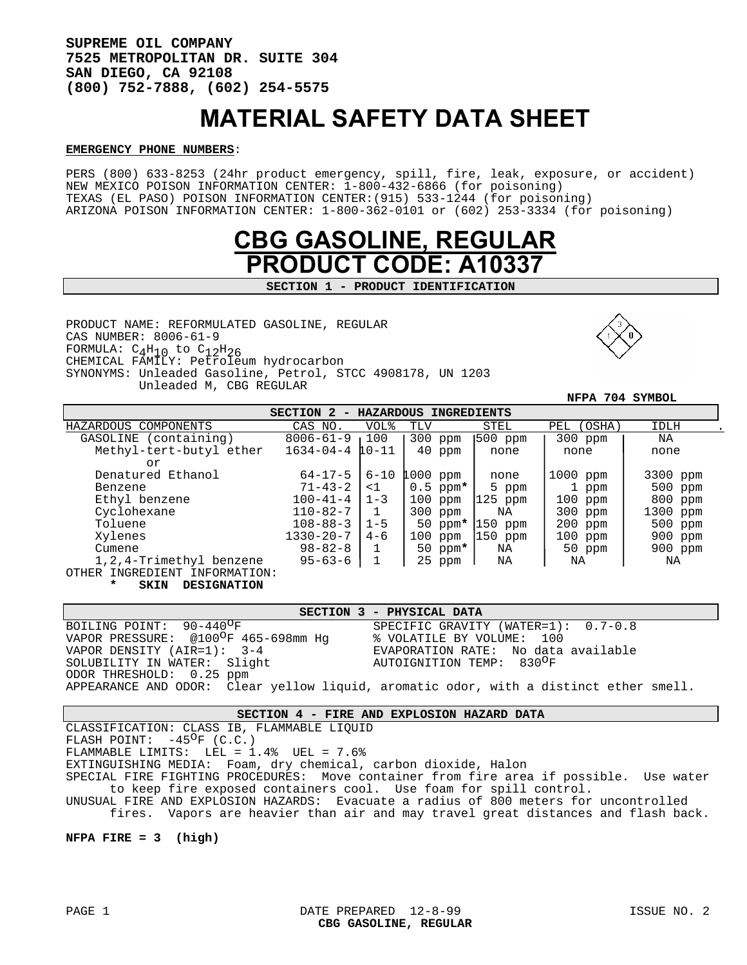**SUPREME OIL COMPANY 7525 METROPOLITAN DR. SUITE 304 SAN DIEGO, CA 92108 (800) 752-7888, (602) 254-5575** 

# MATERIAL SAFETY DATA SHEET

#### **EMERGENCY PHONE NUMBERS**:

PERS (800) 633-8253 (24hr product emergency, spill, fire, leak, exposure, or accident) NEW MEXICO POISON INFORMATION CENTER: 1-800-432-6866 (for poisoning) TEXAS (EL PASO) POISON INFORMATION CENTER:(915) 533-1244 (for poisoning) ARIZONA POISON INFORMATION CENTER: 1-800-362-0101 or (602) 253-3334 (for poisoning)



**SECTION 1 - PRODUCT IDENTIFICATION** 

PRODUCT NAME: REFORMULATED GASOLINE, REGULAR CAS NUMBER: 8006-61-9 FORMULA:  $C_4H_{10}$  to  $C_{12}H_{26}$ CHEMICAL FAMILY: Petroleum hydrocarbon SYNONYMS: Unleaded Gasoline, Petrol, STCC 4908178, UN 1203 Unleaded M, CBG REGULAR



 **NFPA 704 SYMBOL**

| HAZARDOUS<br>SECTION 2<br>INGREDIENTS |                 |                 |            |           |               |           |
|---------------------------------------|-----------------|-----------------|------------|-----------|---------------|-----------|
| HAZARDOUS<br>COMPONENTS               | CAS NO.         | <b>VOL&amp;</b> | TLV        | STEL      | (OSHA)<br>PEL | IDLH      |
| (containing)<br>GASOLINE              | $8006 - 61 - 9$ | 100             | 300<br>ppm | 500 ppm   | 300 ppm       | ΝA        |
| Methyl-tert-butyl ether               | $1634 - 04 - 4$ | $10 - 11$       | 40<br>ppm  | none      | none          | none      |
| or                                    |                 |                 |            |           |               |           |
| Denatured Ethanol                     | 64-17-5         | 6-10            | $1000$ ppm | none      | 1000 ppm      | 3300 ppm  |
| Benzene                               | $71 - 43 - 2$   | $\leq$ 1        | $0.5$ ppm* | 5 ppm     | 1 ppm         | $500$ ppm |
| Ethyl benzene                         | $100 - 41 - 4$  | $11 - 3$        | 100<br>ppm | $125$ ppm | 100 ppm       | 800 ppm   |
| Cyclohexane                           | $110 - 82 - 7$  |                 | $300$ ppm  | NA        | 300 ppm       | 1300 ppm  |
| Toluene                               | $108 - 88 - 3$  | $1 - 5$         | 50<br>ppm* | $150$ ppm | 200 ppm       | $500$ ppm |
| Xylenes                               | $1330 - 20 - 7$ | $4 - 6$         | 100<br>ppm | $150$ ppm | $100$ ppm     | 900 ppm   |
| Cumene                                | $98 - 82 - 8$   |                 | 50 ppm $*$ | ΝA        | 50 ppm        | 900 ppm   |
| 1,2,4-Trimethyl benzene               | $95 - 63 - 6$   |                 | 25<br>ppm  | ΝA        | ΝA            | ΝA        |
| OTHER INGREDIENT INFORMATION:         |                 |                 |            |           |               |           |

SKIN DESIGNATION

|                                                  | SECTION 3 - PHYSICAL DATA                                                             |
|--------------------------------------------------|---------------------------------------------------------------------------------------|
| BOILING POINT: 90-440 <sup>O</sup> F             | SPECIFIC GRAVITY (WATER= $1$ ): 0.7-0.8                                               |
| VAPOR PRESSURE: @100 <sup>O</sup> F 465-698mm Hq | % VOLATILE BY VOLUME: 100                                                             |
| VAPOR DENSITY (AIR=1): 3-4                       | EVAPORATION RATE: No data available                                                   |
| SOLUBILITY IN WATER: Slight                      | AUTOIGNITION TEMP: 830 <sup>O</sup> F                                                 |
| ODOR THRESHOLD: 0.25 ppm                         |                                                                                       |
|                                                  | APPEARANCE AND ODOR: Clear yellow liquid, aromatic odor, with a distinct ether smell. |

# **SECTION 4 - FIRE AND EXPLOSION HAZARD DATA**

CLASSIFICATION: CLASS IB, FLAMMABLE LIQUID

FLASH POINT:  $-45^{\circ}$ F (C.C.)

FLAMMABLE LIMITS: LEL = 1.4% UEL = 7.6%

EXTINGUISHING MEDIA: Foam, dry chemical, carbon dioxide, Halon

SPECIAL FIRE FIGHTING PROCEDURES: Move container from fire area if possible. Use water to keep fire exposed containers cool. Use foam for spill control.

UNUSUAL FIRE AND EXPLOSION HAZARDS: Evacuate a radius of 800 meters for uncontrolled

fires. Vapors are heavier than air and may travel great distances and flash back.

## **NFPA FIRE = 3 (high)**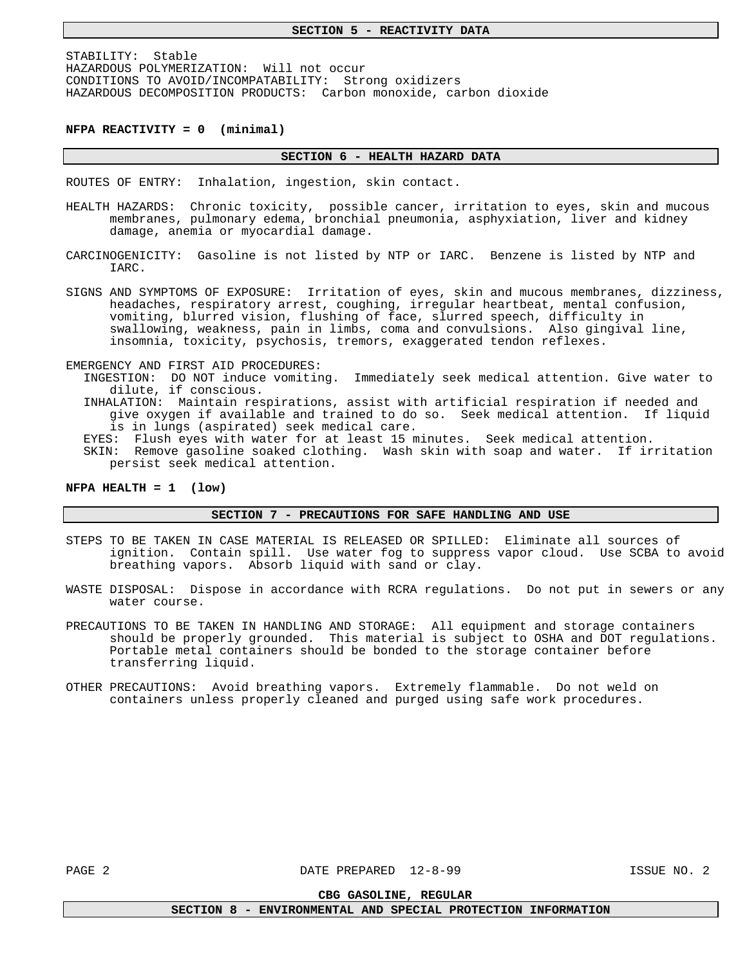STABILITY: Stable HAZARDOUS POLYMERIZATION: Will not occur CONDITIONS TO AVOID/INCOMPATABILITY: Strong oxidizers HAZARDOUS DECOMPOSITION PRODUCTS: Carbon monoxide, carbon dioxide

#### **NFPA REACTIVITY = 0 (minimal)**

#### **SECTION 6 - HEALTH HAZARD DATA**

ROUTES OF ENTRY: Inhalation, ingestion, skin contact.

- HEALTH HAZARDS: Chronic toxicity, possible cancer, irritation to eyes, skin and mucous membranes, pulmonary edema, bronchial pneumonia, asphyxiation, liver and kidney damage, anemia or myocardial damage.
- CARCINOGENICITY: Gasoline is not listed by NTP or IARC. Benzene is listed by NTP and IARC.
- SIGNS AND SYMPTOMS OF EXPOSURE: Irritation of eyes, skin and mucous membranes, dizziness, headaches, respiratory arrest, coughing, irregular heartbeat, mental confusion, vomiting, blurred vision, flushing of face, slurred speech, difficulty in swallowing, weakness, pain in limbs, coma and convulsions. Also gingival line, insomnia, toxicity, psychosis, tremors, exaggerated tendon reflexes.
- EMERGENCY AND FIRST AID PROCEDURES:
	- INGESTION: DO NOT induce vomiting. Immediately seek medical attention. Give water to dilute, if conscious.
	- INHALATION: Maintain respirations, assist with artificial respiration if needed and give oxygen if available and trained to do so. Seek medical attention. If liquid is in lungs (aspirated) seek medical care.
	- EYES: Flush eyes with water for at least 15 minutes. Seek medical attention.
	- SKIN: Remove gasoline soaked clothing. Wash skin with soap and water. If irritation persist seek medical attention.

## **NFPA HEALTH = 1 (low)**

**SECTION 7 - PRECAUTIONS FOR SAFE HANDLING AND USE** 

- STEPS TO BE TAKEN IN CASE MATERIAL IS RELEASED OR SPILLED: Eliminate all sources of ignition. Contain spill. Use water fog to suppress vapor cloud. Use SCBA to avoid breathing vapors. Absorb liquid with sand or clay.
- WASTE DISPOSAL: Dispose in accordance with RCRA regulations. Do not put in sewers or any water course.
- PRECAUTIONS TO BE TAKEN IN HANDLING AND STORAGE: All equipment and storage containers should be properly grounded. This material is subject to OSHA and DOT regulations. Portable metal containers should be bonded to the storage container before transferring liquid.
- OTHER PRECAUTIONS: Avoid breathing vapors. Extremely flammable. Do not weld on containers unless properly cleaned and purged using safe work procedures.

**CBG GASOLINE, REGULAR** 

**SECTION 8 - ENVIRONMENTAL AND SPECIAL PROTECTION INFORMATION**